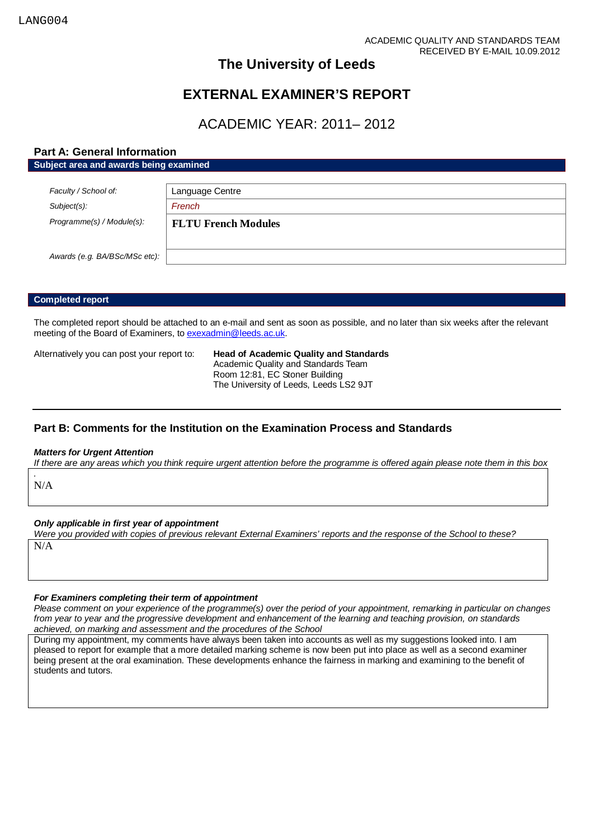## **The University of Leeds**

# **EXTERNAL EXAMINER'S REPORT**

# ACADEMIC YEAR: 2011– 2012

## **Part A: General Information**

**Subject area and awards being examined**

| Faculty / School of:          | Language Centre            |
|-------------------------------|----------------------------|
| $Subject(s)$ :                | French                     |
| Programme(s) / Module(s):     | <b>FLTU French Modules</b> |
|                               |                            |
| Awards (e.g. BA/BSc/MSc etc): |                            |

## **Completed report**

The completed report should be attached to an e-mail and sent as soon as possible, and no later than six weeks after the relevant meeting of the Board of Examiners, t[o exexadmin@leeds.ac.uk.](mailto:exexadmin@leeds.ac.uk)

Alternatively you can post your report to: **Head of Academic Quality and Standards** Academic Quality and Standards Team Room 12:81, EC Stoner Building The University of Leeds, Leeds LS2 9JT

## **Part B: Comments for the Institution on the Examination Process and Standards**

#### *Matters for Urgent Attention*

*If there are any areas which you think require urgent attention before the programme is offered again please note them in this box*

*.* N/A

## *Only applicable in first year of appointment*

*Were you provided with copies of previous relevant External Examiners' reports and the response of the School to these?*  N/A

#### *For Examiners completing their term of appointment*

*Please comment on your experience of the programme(s) over the period of your appointment, remarking in particular on changes from year to year and the progressive development and enhancement of the learning and teaching provision, on standards achieved, on marking and assessment and the procedures of the School*

During my appointment, my comments have always been taken into accounts as well as my suggestions looked into. I am pleased to report for example that a more detailed marking scheme is now been put into place as well as a second examiner being present at the oral examination. These developments enhance the fairness in marking and examining to the benefit of students and tutors.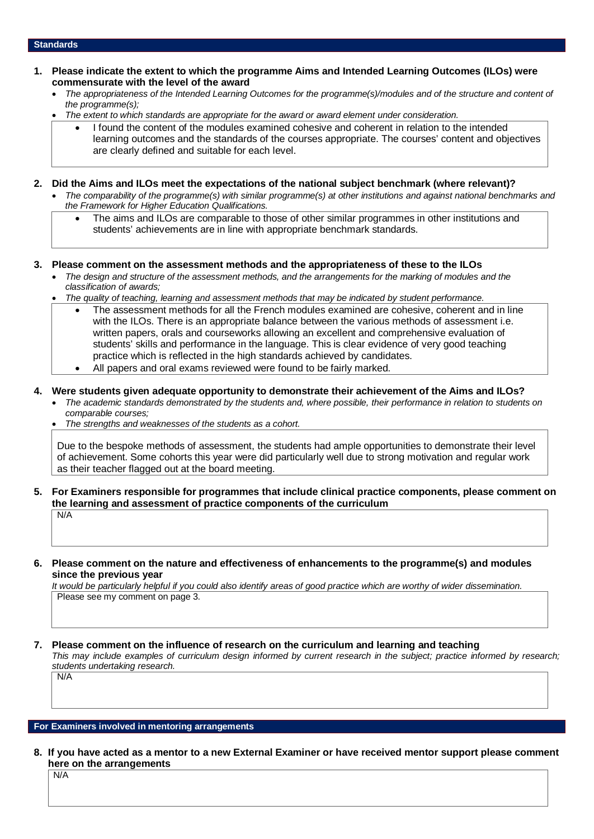## **Standards**

- **1. Please indicate the extent to which the programme Aims and Intended Learning Outcomes (ILOs) were commensurate with the level of the award**
	- *The appropriateness of the Intended Learning Outcomes for the programme(s)/modules and of the structure and content of the programme(s);*
	- *The extent to which standards are appropriate for the award or award element under consideration.*
		- I found the content of the modules examined cohesive and coherent in relation to the intended learning outcomes and the standards of the courses appropriate. The courses' content and objectives are clearly defined and suitable for each level.
- **2. Did the Aims and ILOs meet the expectations of the national subject benchmark (where relevant)?**
	- *The comparability of the programme(s) with similar programme(s) at other institutions and against national benchmarks and the Framework for Higher Education Qualifications.*
		- The aims and ILOs are comparable to those of other similar programmes in other institutions and students' achievements are in line with appropriate benchmark standards.
- **3. Please comment on the assessment methods and the appropriateness of these to the ILOs**
	- *The design and structure of the assessment methods, and the arrangements for the marking of modules and the classification of awards;*
	- *The quality of teaching, learning and assessment methods that may be indicated by student performance.*
		- The assessment methods for all the French modules examined are cohesive, coherent and in line with the ILOs. There is an appropriate balance between the various methods of assessment i.e. written papers, orals and courseworks allowing an excellent and comprehensive evaluation of students' skills and performance in the language. This is clear evidence of very good teaching practice which is reflected in the high standards achieved by candidates.
		- All papers and oral exams reviewed were found to be fairly marked.
- **4. Were students given adequate opportunity to demonstrate their achievement of the Aims and ILOs?**
	- *The academic standards demonstrated by the students and, where possible, their performance in relation to students on comparable courses;*
	- *The strengths and weaknesses of the students as a cohort.*

Due to the bespoke methods of assessment, the students had ample opportunities to demonstrate their level of achievement. Some cohorts this year were did particularly well due to strong motivation and regular work as their teacher flagged out at the board meeting.

- **5. For Examiners responsible for programmes that include clinical practice components, please comment on the learning and assessment of practice components of the curriculum** N/A
- **6. Please comment on the nature and effectiveness of enhancements to the programme(s) and modules since the previous year**

*It would be particularly helpful if you could also identify areas of good practice which are worthy of wider dissemination.*  Please see my comment on page 3.

#### **7. Please comment on the influence of research on the curriculum and learning and teaching**

*This may include examples of curriculum design informed by current research in the subject; practice informed by research; students undertaking research.*  N/A

## **For Examiners involved in mentoring arrangements**

**8. If you have acted as a mentor to a new External Examiner or have received mentor support please comment here on the arrangements**

N/A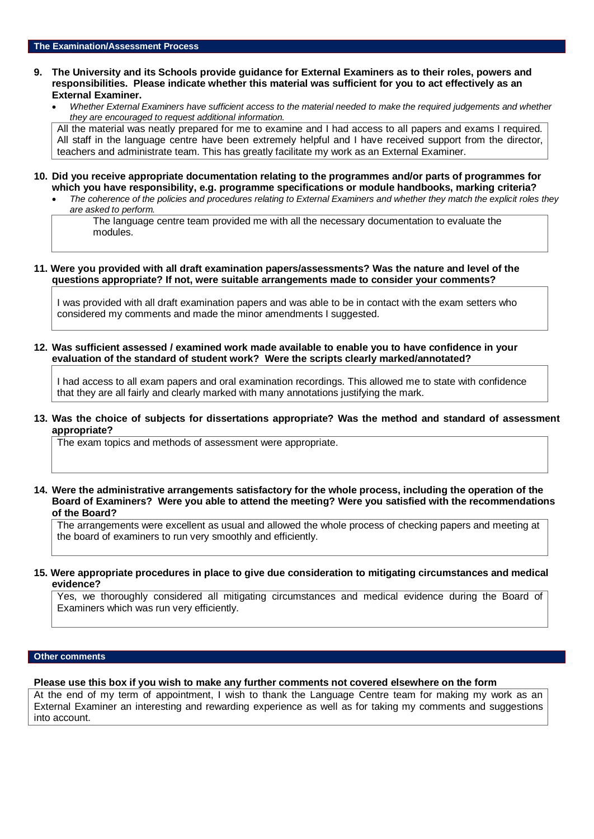## **9. The University and its Schools provide guidance for External Examiners as to their roles, powers and responsibilities. Please indicate whether this material was sufficient for you to act effectively as an External Examiner.**

• *Whether External Examiners have sufficient access to the material needed to make the required judgements and whether they are encouraged to request additional information.*

All the material was neatly prepared for me to examine and I had access to all papers and exams I required. All staff in the language centre have been extremely helpful and I have received support from the director, teachers and administrate team. This has greatly facilitate my work as an External Examiner.

- **10. Did you receive appropriate documentation relating to the programmes and/or parts of programmes for which you have responsibility, e.g. programme specifications or module handbooks, marking criteria?**
	- *The coherence of the policies and procedures relating to External Examiners and whether they match the explicit roles they are asked to perform.*

The language centre team provided me with all the necessary documentation to evaluate the modules.

## **11. Were you provided with all draft examination papers/assessments? Was the nature and level of the questions appropriate? If not, were suitable arrangements made to consider your comments?**

I was provided with all draft examination papers and was able to be in contact with the exam setters who considered my comments and made the minor amendments I suggested.

**12. Was sufficient assessed / examined work made available to enable you to have confidence in your evaluation of the standard of student work? Were the scripts clearly marked/annotated?** 

I had access to all exam papers and oral examination recordings. This allowed me to state with confidence that they are all fairly and clearly marked with many annotations justifying the mark.

## **13. Was the choice of subjects for dissertations appropriate? Was the method and standard of assessment appropriate?**

The exam topics and methods of assessment were appropriate.

## **14. Were the administrative arrangements satisfactory for the whole process, including the operation of the Board of Examiners? Were you able to attend the meeting? Were you satisfied with the recommendations of the Board?**

The arrangements were excellent as usual and allowed the whole process of checking papers and meeting at the board of examiners to run very smoothly and efficiently.

### **15. Were appropriate procedures in place to give due consideration to mitigating circumstances and medical evidence?**

Yes, we thoroughly considered all mitigating circumstances and medical evidence during the Board of Examiners which was run very efficiently.

## **Other comments**

**Please use this box if you wish to make any further comments not covered elsewhere on the form**

At the end of my term of appointment, I wish to thank the Language Centre team for making my work as an External Examiner an interesting and rewarding experience as well as for taking my comments and suggestions into account.